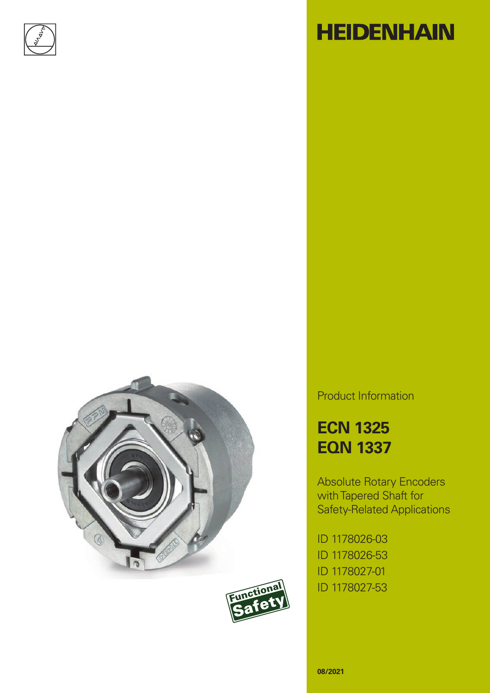





# **HEIDENHAIN**

Product Information

**ECN 1325 EQN 1337**

Absolute Rotary Encoders with Tapered Shaft for Safety-Related Applications

ID 1178026-03 ID 1178026-53 ID 1178027-01 ID 1178027-53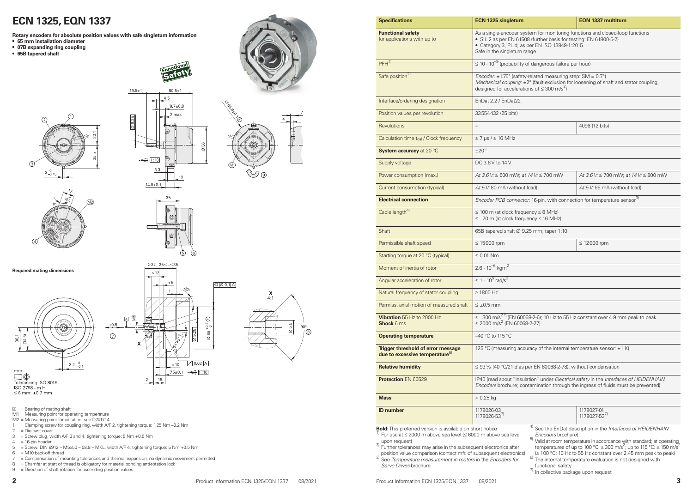### **ECN 1325, EQN 1337**

| <b>Specifications</b>                                                                                                                                                                                                                                                                                                                                                                        | <b>ECN 1325 singleturn</b>                                                                                                                                                                                                           | <b>EQN 1337 multitum</b>                                                                                                                                                                                                                                                                                                                                                                                                        |  |  |  |  |  |
|----------------------------------------------------------------------------------------------------------------------------------------------------------------------------------------------------------------------------------------------------------------------------------------------------------------------------------------------------------------------------------------------|--------------------------------------------------------------------------------------------------------------------------------------------------------------------------------------------------------------------------------------|---------------------------------------------------------------------------------------------------------------------------------------------------------------------------------------------------------------------------------------------------------------------------------------------------------------------------------------------------------------------------------------------------------------------------------|--|--|--|--|--|
| <b>Functional safety</b><br>for applications with up to                                                                                                                                                                                                                                                                                                                                      | As a single-encoder system for monitoring functions and closed-loop functions<br>• SIL 2 as per EN 61508 (further basis for testing: EN 61800-5-2)<br>• Category 3, PL d, as per EN ISO 13849-1:2015<br>Safe in the singleturn range |                                                                                                                                                                                                                                                                                                                                                                                                                                 |  |  |  |  |  |
| $PFH^{1)}$                                                                                                                                                                                                                                                                                                                                                                                   | $\leq$ 10 $\cdot$ 10 <sup>-9</sup> (probability of dangerous failure per hour)                                                                                                                                                       |                                                                                                                                                                                                                                                                                                                                                                                                                                 |  |  |  |  |  |
| Safe position <sup>2)</sup>                                                                                                                                                                                                                                                                                                                                                                  | Encoder: $\pm$ 1.76° (safety-related measuring step: SM = 0.7°)<br>Mechanical coupling: ±2° (fault exclusion for loosening of shaft and stator coupling,<br>designed for accelerations of $\leq 300$ m/s <sup>2</sup> )              |                                                                                                                                                                                                                                                                                                                                                                                                                                 |  |  |  |  |  |
| Interface/ordering designation                                                                                                                                                                                                                                                                                                                                                               | EnDat 2.2 / EnDat22                                                                                                                                                                                                                  |                                                                                                                                                                                                                                                                                                                                                                                                                                 |  |  |  |  |  |
| Position values per revolution                                                                                                                                                                                                                                                                                                                                                               | 33554432 (25 bits)                                                                                                                                                                                                                   |                                                                                                                                                                                                                                                                                                                                                                                                                                 |  |  |  |  |  |
| <b>Revolutions</b>                                                                                                                                                                                                                                                                                                                                                                           |                                                                                                                                                                                                                                      | 4096 (12 bits)                                                                                                                                                                                                                                                                                                                                                                                                                  |  |  |  |  |  |
| Calculation time t <sub>cal</sub> / Clock frequency                                                                                                                                                                                                                                                                                                                                          | $\leq$ 7 µs / $\leq$ 16 MHz                                                                                                                                                                                                          |                                                                                                                                                                                                                                                                                                                                                                                                                                 |  |  |  |  |  |
| System accuracy at 20 °C                                                                                                                                                                                                                                                                                                                                                                     | ±20''                                                                                                                                                                                                                                |                                                                                                                                                                                                                                                                                                                                                                                                                                 |  |  |  |  |  |
| Supply voltage                                                                                                                                                                                                                                                                                                                                                                               | DC 3.6 V to 14 V                                                                                                                                                                                                                     |                                                                                                                                                                                                                                                                                                                                                                                                                                 |  |  |  |  |  |
| Power consumption (max.)                                                                                                                                                                                                                                                                                                                                                                     | At 3.6 V: $\leq 600$ mW; at 14 V: $\leq 700$ mW                                                                                                                                                                                      | At 3.6 V: $\leq$ 700 mW; at 14 V: $\leq$ 800 mW                                                                                                                                                                                                                                                                                                                                                                                 |  |  |  |  |  |
| Current consumption (typical)                                                                                                                                                                                                                                                                                                                                                                | At 5 V: 80 mA (without load)                                                                                                                                                                                                         | At 5 V: 95 mA (without load)                                                                                                                                                                                                                                                                                                                                                                                                    |  |  |  |  |  |
| <b>Electrical connection</b>                                                                                                                                                                                                                                                                                                                                                                 | Encoder PCB connector: 16-pin, with connection for temperature sensor <sup>3)</sup>                                                                                                                                                  |                                                                                                                                                                                                                                                                                                                                                                                                                                 |  |  |  |  |  |
| Cable length <sup>4)</sup>                                                                                                                                                                                                                                                                                                                                                                   | $\leq$ 100 m (at clock frequency $\leq$ 8 MHz)<br>$\leq 20$ m (at clock frequency $\leq 16$ MHz)                                                                                                                                     |                                                                                                                                                                                                                                                                                                                                                                                                                                 |  |  |  |  |  |
| <b>Shaft</b>                                                                                                                                                                                                                                                                                                                                                                                 | 65B tapered shaft Ø 9.25 mm; taper 1:10                                                                                                                                                                                              |                                                                                                                                                                                                                                                                                                                                                                                                                                 |  |  |  |  |  |
| Permissible shaft speed                                                                                                                                                                                                                                                                                                                                                                      | $\leq 15000$ rpm                                                                                                                                                                                                                     | $\leq$ 12000 rpm                                                                                                                                                                                                                                                                                                                                                                                                                |  |  |  |  |  |
| Starting torque at 20 °C (typical)                                                                                                                                                                                                                                                                                                                                                           | $\leq 0.01$ Nm                                                                                                                                                                                                                       |                                                                                                                                                                                                                                                                                                                                                                                                                                 |  |  |  |  |  |
| Moment of inertia of rotor                                                                                                                                                                                                                                                                                                                                                                   | $2.6 \cdot 10^{-6}$ kgm <sup>2</sup>                                                                                                                                                                                                 |                                                                                                                                                                                                                                                                                                                                                                                                                                 |  |  |  |  |  |
| Angular acceleration of rotor                                                                                                                                                                                                                                                                                                                                                                | $\leq 1 \cdot 10^5$ rad/s <sup>2</sup>                                                                                                                                                                                               |                                                                                                                                                                                                                                                                                                                                                                                                                                 |  |  |  |  |  |
| Natural frequency of stator coupling                                                                                                                                                                                                                                                                                                                                                         | $\geq$ 1800 Hz                                                                                                                                                                                                                       |                                                                                                                                                                                                                                                                                                                                                                                                                                 |  |  |  |  |  |
| Permiss. axial motion of measured shaft                                                                                                                                                                                                                                                                                                                                                      | $\leq \pm 0.5$ mm                                                                                                                                                                                                                    |                                                                                                                                                                                                                                                                                                                                                                                                                                 |  |  |  |  |  |
| Vibration 55 Hz to 2000 Hz<br><b>Shock 6 ms</b>                                                                                                                                                                                                                                                                                                                                              | $\leq$ 2000 m/s <sup>2</sup> (EN 60068-2-27)                                                                                                                                                                                         | ≤ 300 m/s <sup>2</sup> <sup>5)</sup> (EN 60068-2-6); 10 Hz to 55 Hz constant over 4.9 mm peak to peak                                                                                                                                                                                                                                                                                                                           |  |  |  |  |  |
| <b>Operating temperature</b>                                                                                                                                                                                                                                                                                                                                                                 | -40 °C to 115 °C                                                                                                                                                                                                                     |                                                                                                                                                                                                                                                                                                                                                                                                                                 |  |  |  |  |  |
| <b>Trigger threshold of error message</b><br>due to excessive temperature <sup>6</sup>                                                                                                                                                                                                                                                                                                       | 125 °C (measuring accuracy of the internal temperature sensor: ±1 K)                                                                                                                                                                 |                                                                                                                                                                                                                                                                                                                                                                                                                                 |  |  |  |  |  |
| <b>Relative humidity</b>                                                                                                                                                                                                                                                                                                                                                                     | $\leq$ 93 % (40 °C/21 d as per EN 60068-2-78), without condensation                                                                                                                                                                  |                                                                                                                                                                                                                                                                                                                                                                                                                                 |  |  |  |  |  |
| Protection EN 60529                                                                                                                                                                                                                                                                                                                                                                          | IP40 (read about "insulation" under Electrical safety in the Interfaces of HEIDENHAIN<br>Encoders brochure; contamination through the ingress of fluids must be prevented)                                                           |                                                                                                                                                                                                                                                                                                                                                                                                                                 |  |  |  |  |  |
| <b>Mass</b>                                                                                                                                                                                                                                                                                                                                                                                  | $\approx 0.25$ kg                                                                                                                                                                                                                    |                                                                                                                                                                                                                                                                                                                                                                                                                                 |  |  |  |  |  |
| <b>ID</b> number                                                                                                                                                                                                                                                                                                                                                                             | 1178026-03<br>1178026-53 <sup>7)</sup>                                                                                                                                                                                               | 1178027-01<br>1178027-53 <sup>7)</sup>                                                                                                                                                                                                                                                                                                                                                                                          |  |  |  |  |  |
| <b>old:</b> This preferred version is available on short notice<br>For use at $\leq$ 2000 m above sea level ( $\leq$ 6000 m above sea level<br>upon request)<br>Further tolerances may arise in the subsequent electronics after<br>position value comparison (contact mfr. of subsequent electronics)<br>See Temperature measurement in motors in the Encoders for<br>Servo Drives brochure | 5)<br>6)                                                                                                                                                                                                                             | <sup>4)</sup> See the EnDat description in the Interfaces of HEIDENHAIN<br>Encoders brochure)<br>Valid at room temperature in accordance with standard; at operating<br>temperatures of up to 100 °C: $\leq$ 300 m/s <sup>2</sup> ; up to 115 °C: $\leq$ 150 m/s <sup>2</sup><br>(≥ 100 °C: 10 Hz to 55 Hz constant over 2.45 mm peak to peak)<br>The internal temperature evaluation is not designed with<br>functional safety |  |  |  |  |  |

 $\frac{7}{1}$  In collective package upon request

**Rotary encoders for absolute position values with safe singleturn information**

- **• 65 mm installation diameter**
- **• 07B expanding ring coupling**
- **• 65B tapered shaft**







 $50.5+7$ 45

 $19.5 \pm 1$ 









 $\geq$  22 25  $\leq$  L  $\leq$  35

 $\bigcirc$ 

 $\overline{5}$ 

 $10.02$  A

 $\leftarrow 1:10$ 

 $< 10$ 

 $7.5 + 0.1$ 

| <b>Specifications</b>                                                                   | ECIV 1325 Singletum<br>EQN 1337 multiturn                                                                                                                                                                                         |                              |  |  |  |  |
|-----------------------------------------------------------------------------------------|-----------------------------------------------------------------------------------------------------------------------------------------------------------------------------------------------------------------------------------|------------------------------|--|--|--|--|
| <b>Functional safety</b><br>for applications with up to                                 | As a single-encoder system for monitoring functions and closed-loop functi<br>• SIL 2 as per EN 61508 (further basis for testing: EN 61800-5-2)<br>• Category 3, PL d, as per EN ISO 13849-1:2015<br>Safe in the singleturn range |                              |  |  |  |  |
| $PFH^{1}$                                                                               | $\leq$ 10 $\cdot$ 10 <sup>-9</sup> (probability of dangerous failure per hour)                                                                                                                                                    |                              |  |  |  |  |
| Safe position <sup>2)</sup>                                                             | Encoder: $\pm$ 1.76° (safety-related measuring step: SM = 0.7°)<br>Mechanical coupling: ±2° (fault exclusion for loosening of shaft and stator of<br>designed for accelerations of $\leq 300$ m/s <sup>2</sup> )                  |                              |  |  |  |  |
| Interface/ordering designation                                                          | EnDat 2.2 / EnDat22                                                                                                                                                                                                               |                              |  |  |  |  |
| Position values per revolution                                                          | 33554432 (25 bits)                                                                                                                                                                                                                |                              |  |  |  |  |
| Revolutions                                                                             | $\overline{\phantom{0}}$                                                                                                                                                                                                          | 4096 (12 bits)               |  |  |  |  |
| Calculation time t <sub>cal</sub> / Clock frequency                                     | $\leq$ 7 µs / $\leq$ 16 MHz                                                                                                                                                                                                       |                              |  |  |  |  |
| System accuracy at 20 °C                                                                | ±20''                                                                                                                                                                                                                             |                              |  |  |  |  |
| Supply voltage                                                                          | DC 3.6 V to 14 V                                                                                                                                                                                                                  |                              |  |  |  |  |
| Power consumption (max.)                                                                | At 3.6 V: $\leq 600$ mW; at 14 V: $\leq 700$ mW                                                                                                                                                                                   | At 3.6 V: ≤ 700 mW; at 14 V  |  |  |  |  |
| Current consumption (typical)                                                           | At 5 V: 80 mA (without load)                                                                                                                                                                                                      | At 5 V: 95 mA (without load) |  |  |  |  |
| <b>Electrical connection</b>                                                            | Encoder PCB connector: 16-pin, with connection for temperature sensor <sup>3)</sup>                                                                                                                                               |                              |  |  |  |  |
| Cable length <sup>4)</sup>                                                              | $\leq$ 100 m (at clock frequency $\leq$ 8 MHz)<br>$\leq 20$ m (at clock frequency $\leq 16$ MHz)                                                                                                                                  |                              |  |  |  |  |
| <b>Shaft</b>                                                                            | 65B tapered shaft Ø 9.25 mm; taper 1:10                                                                                                                                                                                           |                              |  |  |  |  |
| Permissible shaft speed                                                                 | $\leq$ 15000 rpm                                                                                                                                                                                                                  | $\leq 12000$ rpm             |  |  |  |  |
| Starting torque at 20 °C (typical)                                                      | $\leq 0.01$ Nm                                                                                                                                                                                                                    |                              |  |  |  |  |
| Moment of inertia of rotor                                                              | $2.6 \cdot 10^{-6}$ kgm <sup>2</sup>                                                                                                                                                                                              |                              |  |  |  |  |
| Angular acceleration of rotor                                                           | $\leq 1 \cdot 10^5$ rad/s <sup>2</sup>                                                                                                                                                                                            |                              |  |  |  |  |
| Natural frequency of stator coupling                                                    | $\geq$ 1800 Hz                                                                                                                                                                                                                    |                              |  |  |  |  |
| Permiss, axial motion of measured shaft                                                 | $\leq \pm 0.5$ mm                                                                                                                                                                                                                 |                              |  |  |  |  |
| Vibration 55 Hz to 2000 Hz<br><b>Shock 6 ms</b>                                         | ≤ 300 m/s <sup>2 5)</sup> (EN 60068-2-6); 10 Hz to 55 Hz constant over 4.9 mm peak t<br>$\leq$ 2000 m/s <sup>2</sup> (EN 60068-2-27)                                                                                              |                              |  |  |  |  |
| <b>Operating temperature</b>                                                            | -40 °C to 115 °C                                                                                                                                                                                                                  |                              |  |  |  |  |
| <b>Trigger threshold of error message</b><br>due to excessive temperature <sup>6)</sup> | 125 °C (measuring accuracy of the internal temperature sensor: ±1 K)                                                                                                                                                              |                              |  |  |  |  |
| <b>Relative humidity</b>                                                                | $\leq$ 93 % (40 °C/21 d as per EN 60068-2-78), without condensation                                                                                                                                                               |                              |  |  |  |  |
| <b>Protection EN 60529</b>                                                              | IP40 (read about "insulation" under Electrical safety in the Interfaces of HE<br>Encoders brochure; contamination through the ingress of fluids must be pr                                                                        |                              |  |  |  |  |
| <b>Mass</b>                                                                             | $\approx 0.25$ kg                                                                                                                                                                                                                 |                              |  |  |  |  |
| <b>ID</b> number                                                                        | 1178026-03                                                                                                                                                                                                                        | 1178027-01                   |  |  |  |  |

- upon request)<br>
<sup>2)</sup> Further tolerances may arise in the subsequent electronics after<br>
position value comparison (contact mfr. of subsequent electronics)
- position value comparison (contact mfr. of subsequent electronics) 3) See *Temperature measurement in motors* in the *Encoders for Servo Drives* brochure
- M1 = Measuring point for operating temperature
- M2 = Measuring point for vibration, see D741714
- 1 = Clamping screw for coupling ring, width A/F 2, tightening torque: 1.25 Nm -0.2 Nm
- $2 = \text{Die-cast cover}$
- $3 =$  Screw plug, width A/F 3 and 4, tightening torque: 5 Nm +0.5 Nm
- $4 = 16$ -pin header
- $5 =$  Screw: DIN 6912 M5x50 08.8 MKL, width A/F 4, tightening torque: 5 Nm + 0.5 Nm
- $6 = M10$  back-off thread
- 7 = Compensation of mounting tolerances and thermal expansion, no dynamic movement permitted
- 8 = Chamfer at start of thread is obligatory for material bonding anti-rotation lock
- $9 =$  Direction of shaft rotation for ascending position values



**Required mating dimensions**



### The Contract Tolerancing ISO 8015<br>ISO 2768 - m H  $1502700 - 1111$ <br>≤ 6 mm: ±0.2 mm

 $\overline{A}$  = Bearing of mating shaft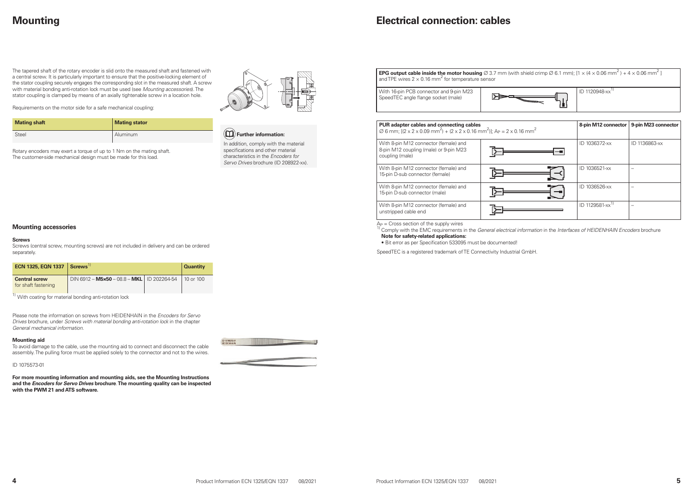# **Mounting**

The tapered shaft of the rotary encoder is slid onto the measured shaft and fastened with a central screw. It is particularly important to ensure that the positive-locking element of the stator coupling securely engages the corresponding slot in the measured shaft. A screw with material bonding anti-rotation lock must be used (see *Mounting accessories*). The stator coupling is clamped by means of an axially tightenable screw in a location hole.



Requirements on the motor side for a safe mechanical coupling:

| <b>Mating shaft</b> | <b>Mating stator</b> |
|---------------------|----------------------|
| <b>Steel</b>        | Aluminum             |

Rotary encoders may exert a torque of up to 1 Nm on the mating shaft. The customer-side mechanical design must be made for this load.

### **Electrical connection: cables**

### **Mounting accessories**

#### **Screws**

Screws (central screw, mounting screws) are not included in delivery and can be ordered separately.

| ECN 1325, EQN 1337 $ $ Screws <sup>1)</sup>       |                                              | <b>Quantity</b> |
|---------------------------------------------------|----------------------------------------------|-----------------|
| <b>Central screw</b><br>for shaft fastening<br>11 | DIN 6912 - M5×50 - 08.8 - MKL   ID 202264-54 | . 10 or 100     |

 $1)$  With coating for material bonding anti-rotation lock

Please note the information on screws from HEIDENHAIN in the *Encoders for Servo Drives* brochure, under *Screws with material bonding anti-rotation lock* in the chapter *General mechanical information*.

| <b>EPG output cable inside the motor housing</b> $\varnothing$ 3.7 mm (with sh<br>and TPE wires 2 $\times$ 0.16 mm $^2$ for temperature sensor                 |  |
|----------------------------------------------------------------------------------------------------------------------------------------------------------------|--|
| With 16-pin PCB connector and 9-pin M23<br>SpeedTEC angle flange socket (male)                                                                                 |  |
|                                                                                                                                                                |  |
| PUR adapter cables and connecting cables<br>$\varnothing$ 6 mm; [(2 x 2 x 0.09 mm <sup>2</sup> ) + (2 x 2 x 0.16 mm <sup>2</sup> )]; A <sub>P</sub> = 2 x 0.16 |  |
| With 8-pin M12 connector (female) and<br>8-pin M12 coupling (male) or 9-pin M23<br>coupling (male)                                                             |  |
|                                                                                                                                                                |  |
| With 8-pin M12 connector (female) and<br>15-pin D-sub connector (female)                                                                                       |  |
| With 8-pin M12 connector (female) and                                                                                                                          |  |
| 15-pin D-sub connector (male)                                                                                                                                  |  |

#### **Mounting aid**

To avoid damage to the cable, use the mounting aid to connect and disconnect the cable assembly. The pulling force must be applied solely to the connector and not to the wires. A<sub>P</sub> = Cross section of the supply wires<br><sup>1)</sup> Comply with the EMC requirements in the *General electrical information* in the *Interfaces of HEIDENHAIN Encoders* brochure **Note for safety-related applications:**

ID 1075573-01

**For more mounting information and mounting aids, see the Mounting Instructions and the** *Encoders for Servo Drives* **brochure**. **The mounting quality can be inspected with the PWM 21 and ATS software.**



**EPG output cable inside the motor housing**  $\varnothing$  3.7 mm (with shield crimp  $\varnothing$  6.1 mm); [1 × (4 × 0.06 mm<sup>2</sup>) + 4 × 0.06 mm<sup>2</sup>]

### **Further information:**

In addition, comply with the material specifications and other material characteristics in the *Encoders for Servo Drives* brochure (ID 208922-xx).

| ID 1120948-xx <sup>1)</sup> |
|-----------------------------|

| m <sup>2</sup> )]; A <sub>P</sub> = 2 x 0.16 mm <sup>2</sup> |                             | 8-pin M12 connector   9-pin M23 connector |
|--------------------------------------------------------------|-----------------------------|-------------------------------------------|
|                                                              | ID 1036372-xx               | ID 1136863-xx                             |
|                                                              | ID 1036521-xx               |                                           |
|                                                              | ID 1036526-xx               |                                           |
|                                                              | ID 1129581-xx <sup>1)</sup> |                                           |

With 8-pin M12 connector (female) and unstripped cable end

• Bit error as per Specification 533095 must be documented!

SpeedTEC is a registered trademark of TE Connectivity Industrial GmbH.